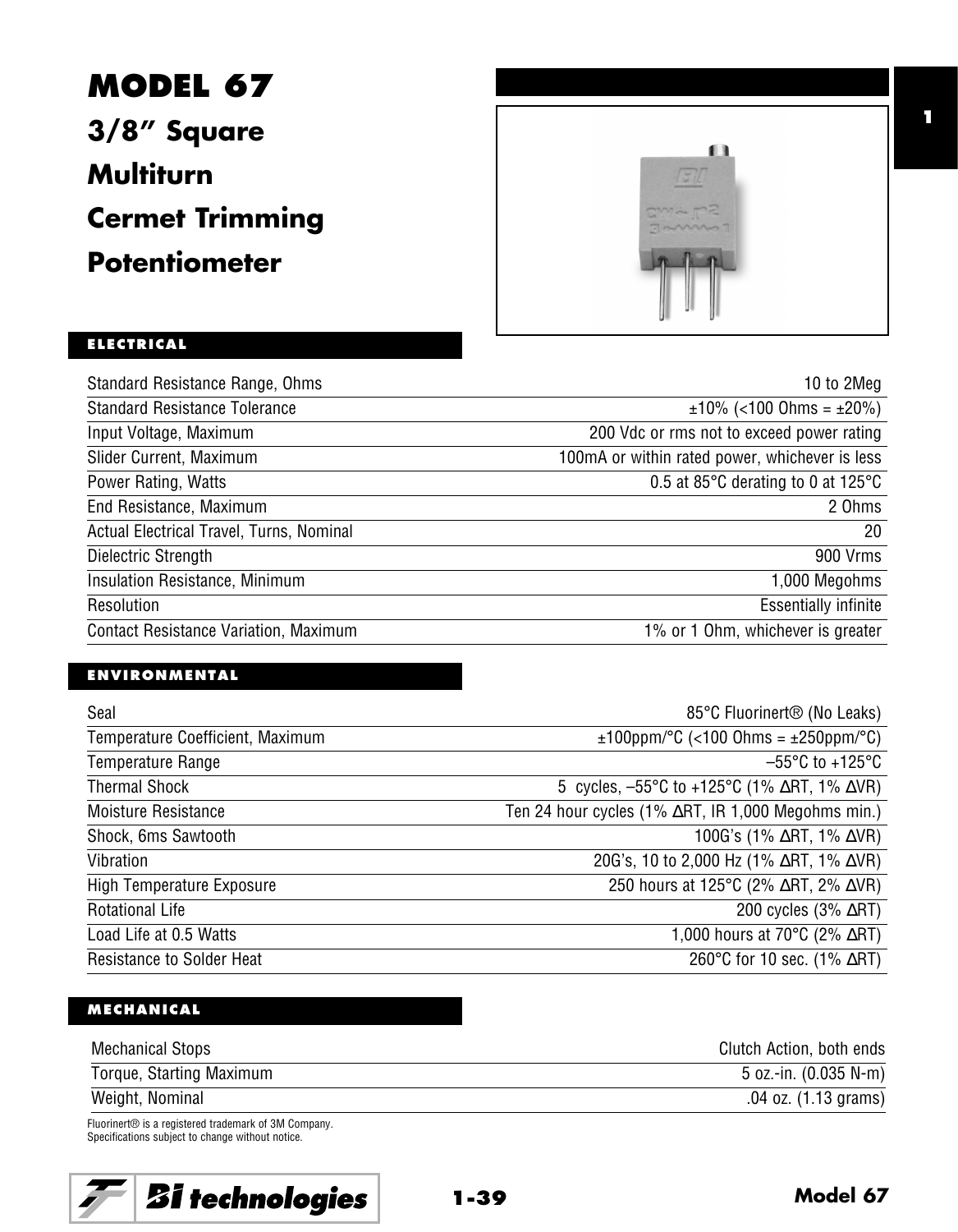**MODEL 67 3/8" Square Multiturn Cermet Trimming Potentiometer**



**1**

# **ELECTRICAL**

| Standard Resistance Range, Ohms              | 10 to 2Meg                                     |
|----------------------------------------------|------------------------------------------------|
| <b>Standard Resistance Tolerance</b>         | $\pm 10\%$ (<100 Ohms = $\pm 20\%$ )           |
| Input Voltage, Maximum                       | 200 Vdc or rms not to exceed power rating      |
| Slider Current, Maximum                      | 100mA or within rated power, whichever is less |
| Power Rating, Watts                          | 0.5 at 85°C derating to 0 at 125°C             |
| End Resistance, Maximum                      | 2 Ohms                                         |
| Actual Electrical Travel, Turns, Nominal     | 20                                             |
| Dielectric Strength                          | 900 Vrms                                       |
| Insulation Resistance, Minimum               | 1,000 Megohms                                  |
| Resolution                                   | <b>Essentially infinite</b>                    |
| <b>Contact Resistance Variation, Maximum</b> | 1% or 1 Ohm, whichever is greater              |

# **ENVIRONMENTAL**

| Seal                             | 85°C Fluorinert <sup>®</sup> (No Leaks)                                         |
|----------------------------------|---------------------------------------------------------------------------------|
| Temperature Coefficient, Maximum | $\pm 100$ ppm/°C (<100 Ohms = $\pm 250$ ppm/°C)                                 |
| Temperature Range                | $-55^{\circ}$ C to +125 $^{\circ}$ C                                            |
| <b>Thermal Shock</b>             | 5 cycles, $-55^{\circ}$ C to +125 $^{\circ}$ C (1% $\Delta$ RT, 1% $\Delta$ VR) |
| Moisture Resistance              | Ten 24 hour cycles (1% ∆RT, IR 1,000 Megohms min.)                              |
| Shock, 6ms Sawtooth              | 100G's (1% $\Delta$ RT, 1% $\Delta$ VR)                                         |
| Vibration                        | 20G's, 10 to 2,000 Hz (1% $\Delta$ RT, 1% $\Delta$ VR)                          |
| High Temperature Exposure        | 250 hours at 125°C (2% ∆RT, 2% ∆VR)                                             |
| <b>Rotational Life</b>           | 200 cycles $(3\% \ \Delta RT)$                                                  |
| Load Life at 0.5 Watts           | 1,000 hours at 70 $\degree$ C (2% $\triangle$ RT)                               |
| <b>Resistance to Solder Heat</b> | 260°C for 10 sec. (1% $\triangle$ RT)                                           |

## **MECHANICAL**

| <b>Mechanical Stops</b>                             | Clutch Action, both ends |
|-----------------------------------------------------|--------------------------|
| Torque, Starting Maximum                            | 5 oz.-in. (0.035 N-m)    |
| Weight, Nominal                                     | .04 oz. (1.13 grams)     |
| Fluorinert® is a registered trademark of 3M Company |                          |

k of 3M Company. Specifications subject to change without notice.

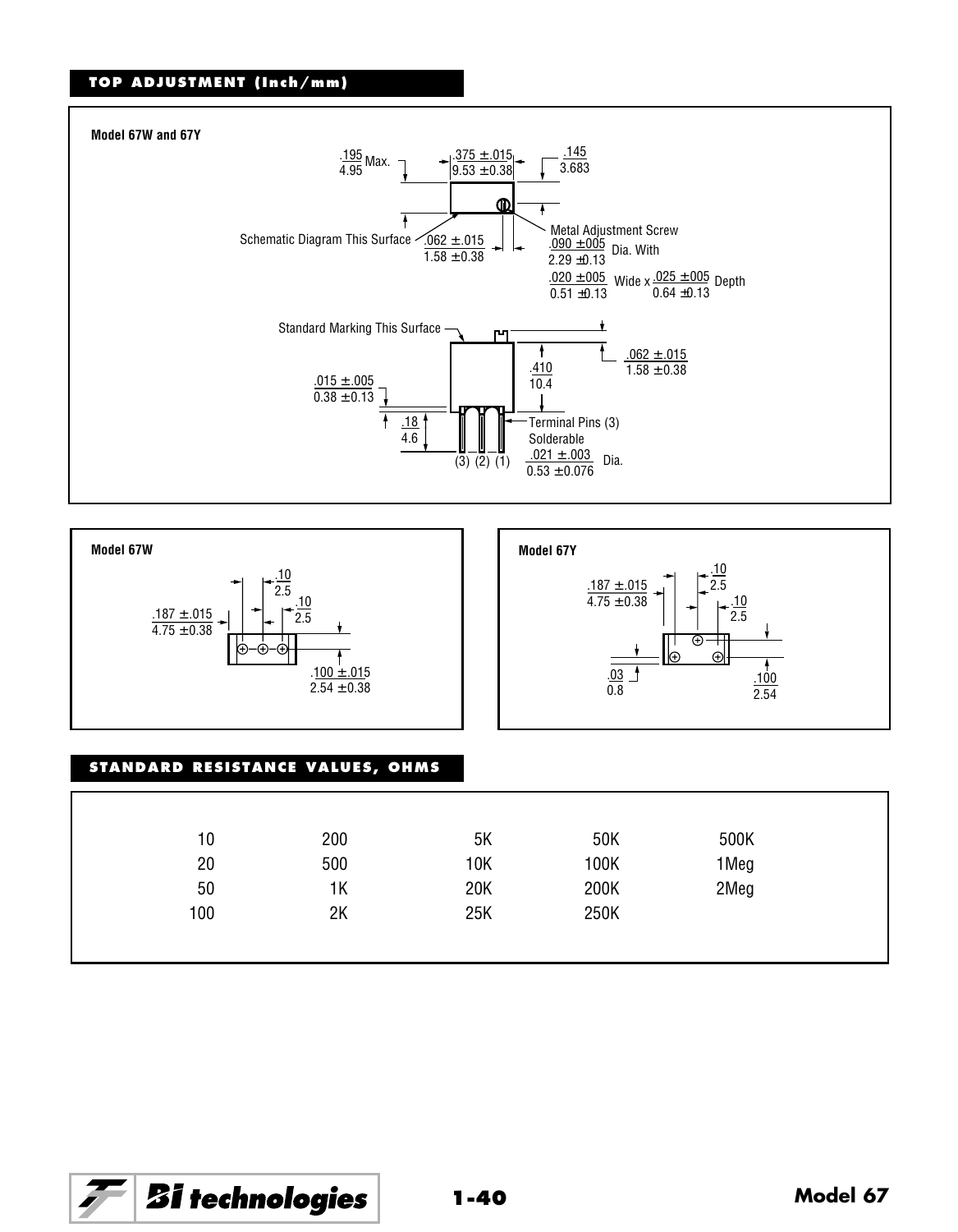### **TOP ADJUSTMENT (Inch/mm)**







#### **STANDARD RESISTANCE VALUES, OHMS**

| 10  | 200 | 5Κ  | 50K  | 500K |  |
|-----|-----|-----|------|------|--|
| 20  | 500 | 10K | 100K | 1Meg |  |
| 50  | 1K  | 20K | 200K | 2Meg |  |
| 100 | 2K  | 25K | 250K |      |  |

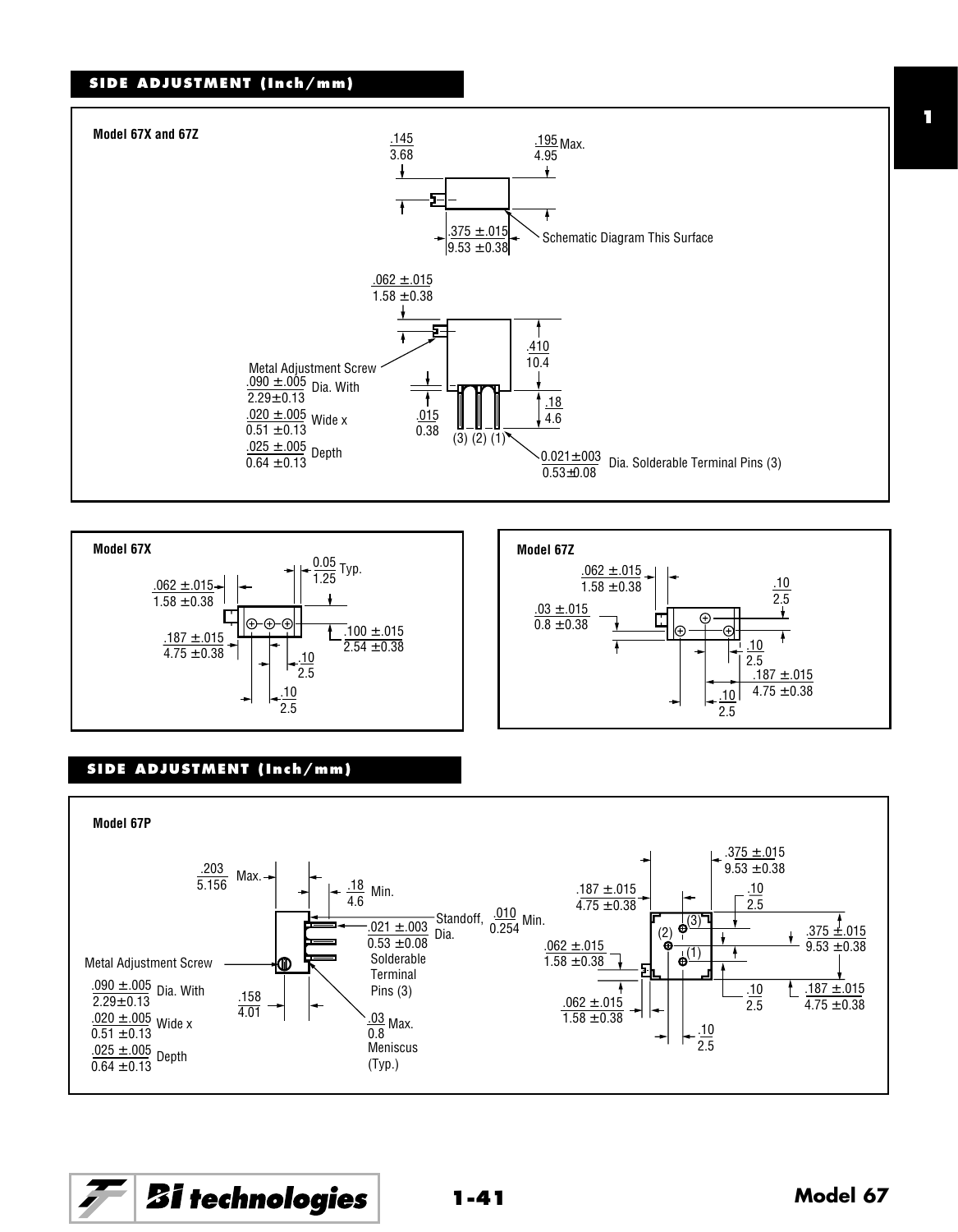#### **SIDE ADJUSTMENT (Inch/mm)**







#### **SIDE ADJUSTMENT (Inch/mm)**



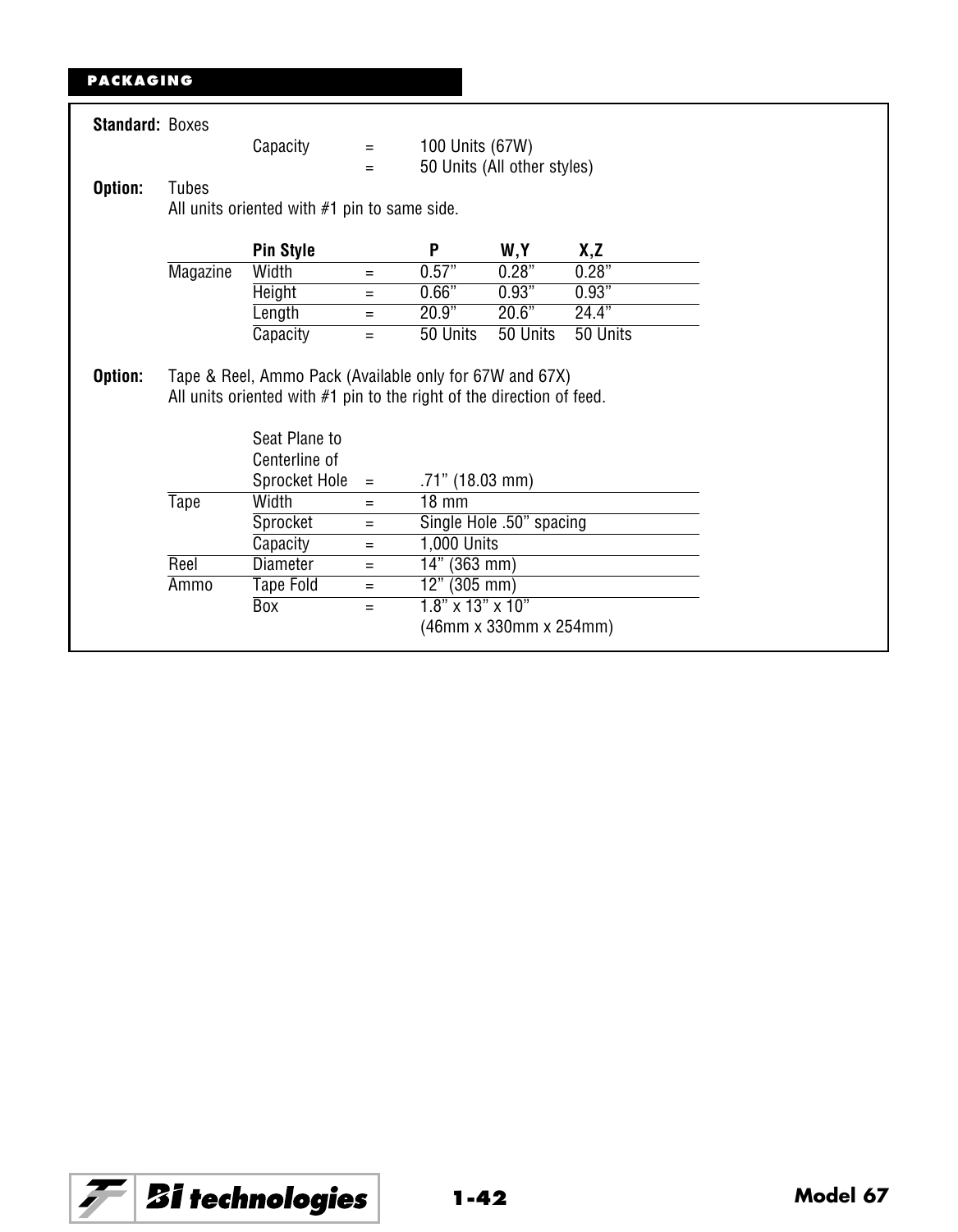# **PACKAGING**

| <b>Standard: Boxes</b> |          |                                                                                                                                  |          |                              |                             |          |  |
|------------------------|----------|----------------------------------------------------------------------------------------------------------------------------------|----------|------------------------------|-----------------------------|----------|--|
|                        |          | Capacity                                                                                                                         | $\equiv$ | 100 Units (67W)              |                             |          |  |
|                        |          |                                                                                                                                  | $=$      |                              | 50 Units (All other styles) |          |  |
| Option:                | Tubes    |                                                                                                                                  |          |                              |                             |          |  |
|                        |          | All units oriented with #1 pin to same side.                                                                                     |          |                              |                             |          |  |
|                        |          | <b>Pin Style</b>                                                                                                                 |          | P                            | W,Y                         | X,Z      |  |
|                        | Magazine | Width                                                                                                                            | $=$      | 0.57"                        | 0.28"                       | 0.28"    |  |
|                        |          | Height                                                                                                                           | $=$      | 0.66"                        | 0.93"                       | 0.93"    |  |
|                        |          | Length                                                                                                                           | $=$      | 20.9"                        | 20.6"                       | 24.4"    |  |
|                        |          | Capacity                                                                                                                         | $=$      | 50 Units                     | 50 Units                    | 50 Units |  |
|                        |          | Tape & Reel, Ammo Pack (Available only for 67W and 67X)<br>All units oriented with #1 pin to the right of the direction of feed. |          |                              |                             |          |  |
| Option:                |          | Seat Plane to<br>Centerline of                                                                                                   |          |                              |                             |          |  |
|                        |          | Sprocket Hole                                                                                                                    | $=$      | $.71"$ (18.03 mm)            |                             |          |  |
|                        | Tape     | Width                                                                                                                            | $=$      | $18 \text{ mm}$              |                             |          |  |
|                        |          | Sprocket                                                                                                                         | $=$      |                              | Single Hole .50" spacing    |          |  |
|                        |          | Capacity                                                                                                                         | $=$      | 1,000 Units                  |                             |          |  |
|                        | Reel     | Diameter                                                                                                                         | Ξ        | 14" (363 mm)                 |                             |          |  |
|                        | Ammo     | Tape Fold                                                                                                                        | $=$      | 12" (305 mm)                 |                             |          |  |
|                        |          | Box                                                                                                                              | $=$      | $1.8" \times 13" \times 10"$ |                             |          |  |